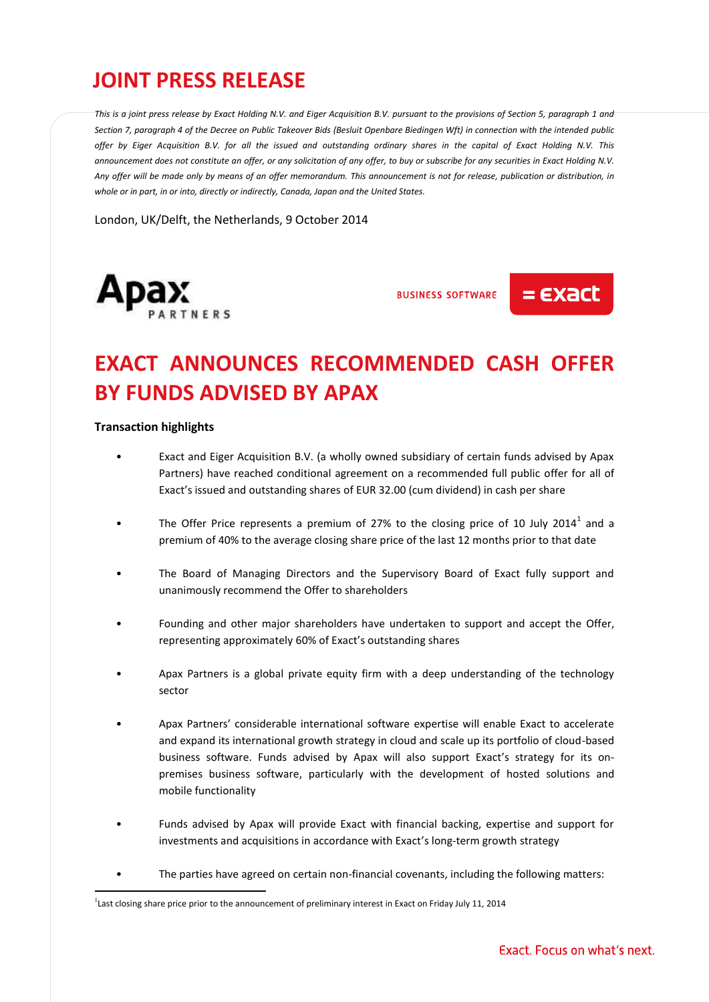## **JOINT PRESS RELEASE**

*This is a joint press release by Exact Holding N.V. and Eiger Acquisition B.V. pursuant to the provisions of Section 5, paragraph 1 and Section 7, paragraph 4 of the Decree on Public Takeover Bids (Besluit Openbare Biedingen Wft) in connection with the intended public offer by Eiger Acquisition B.V. for all the issued and outstanding ordinary shares in the capital of Exact Holding N.V. This announcement does not constitute an offer, or any solicitation of any offer, to buy or subscribe for any securities in Exact Holding N.V. Any offer will be made only by means of an offer memorandum. This announcement is not for release, publication or distribution, in whole or in part, in or into, directly or indirectly, Canada, Japan and the United States.*

London, UK/Delft, the Netherlands, 9 October 2014



**BUSINESS SOFTWARE** 

 $=$   $\epsilon$ *x* act

# **EXACT ANNOUNCES RECOMMENDED CASH OFFER BY FUNDS ADVISED BY APAX**

#### **Transaction highlights**

 $\overline{a}$ 

- Exact and Eiger Acquisition B.V. (a wholly owned subsidiary of certain funds advised by Apax Partners) have reached conditional agreement on a recommended full public offer for all of Exact's issued and outstanding shares of EUR 32.00 (cum dividend) in cash per share
- The Offer Price represents a premium of 27% to the closing price of 10 July 2014<sup>1</sup> and a premium of 40% to the average closing share price of the last 12 months prior to that date
- The Board of Managing Directors and the Supervisory Board of Exact fully support and unanimously recommend the Offer to shareholders
- Founding and other major shareholders have undertaken to support and accept the Offer, representing approximately 60% of Exact's outstanding shares
- Apax Partners is a global private equity firm with a deep understanding of the technology sector
- Apax Partners' considerable international software expertise will enable Exact to accelerate and expand its international growth strategy in cloud and scale up its portfolio of cloud-based business software. Funds advised by Apax will also support Exact's strategy for its onpremises business software, particularly with the development of hosted solutions and mobile functionality
- Funds advised by Apax will provide Exact with financial backing, expertise and support for investments and acquisitions in accordance with Exact's long-term growth strategy
- The parties have agreed on certain non-financial covenants, including the following matters:

<sup>&</sup>lt;sup>1</sup> Last closing share price prior to the announcement of preliminary interest in Exact on Friday July 11, 2014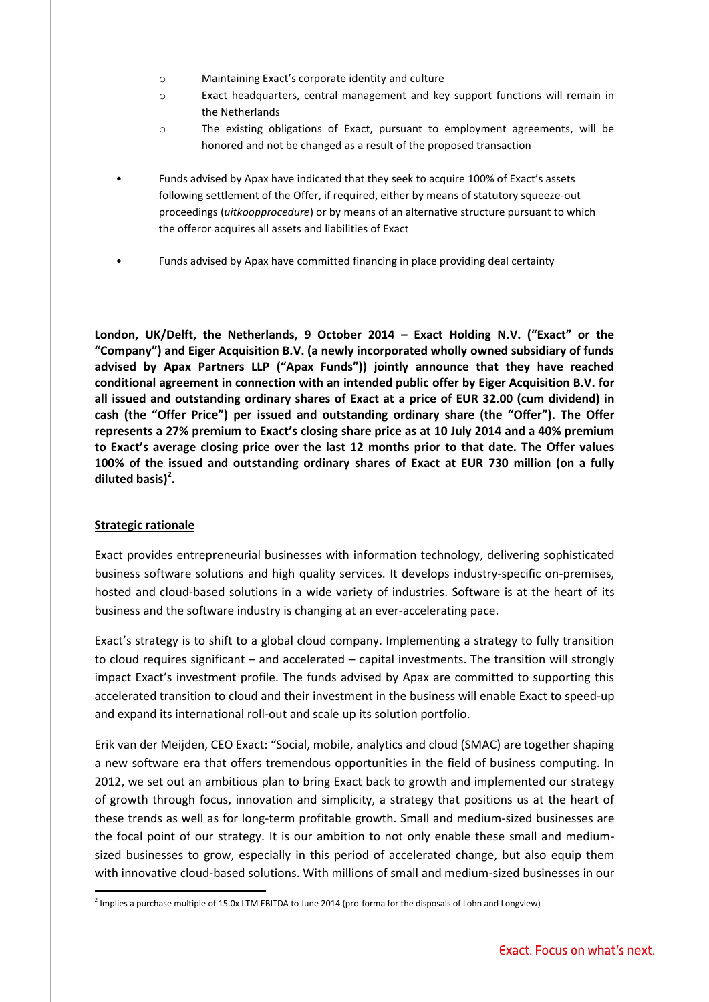- o Maintaining Exact's corporate identity and culture
- o Exact headquarters, central management and key support functions will remain in the Netherlands
- o The existing obligations of Exact, pursuant to employment agreements, will be honored and not be changed as a result of the proposed transaction
- Funds advised by Apax have indicated that they seek to acquire 100% of Exact's assets following settlement of the Offer, if required, either by means of statutory squeeze-out proceedings (*uitkoopprocedure*) or by means of an alternative structure pursuant to which the offeror acquires all assets and liabilities of Exact
- Funds advised by Apax have committed financing in place providing deal certainty

**London, UK/Delft, the Netherlands, 9 October 2014 – Exact Holding N.V. ("Exact" or the "Company") and Eiger Acquisition B.V. (a newly incorporated wholly owned subsidiary of funds advised by Apax Partners LLP ("Apax Funds")) jointly announce that they have reached conditional agreement in connection with an intended public offer by Eiger Acquisition B.V. for all issued and outstanding ordinary shares of Exact at a price of EUR 32.00 (cum dividend) in cash (the "Offer Price") per issued and outstanding ordinary share (the "Offer"). The Offer represents a 27% premium to Exact's closing share price as at 10 July 2014 and a 40% premium to Exact's average closing price over the last 12 months prior to that date. The Offer values 100% of the issued and outstanding ordinary shares of Exact at EUR 730 million (on a fully diluted basis)<sup>2</sup> .**

## **Strategic rationale**

 $\overline{a}$ 

Exact provides entrepreneurial businesses with information technology, delivering sophisticated business software solutions and high quality services. It develops industry-specific on-premises, hosted and cloud-based solutions in a wide variety of industries. Software is at the heart of its business and the software industry is changing at an ever-accelerating pace.

Exact's strategy is to shift to a global cloud company. Implementing a strategy to fully transition to cloud requires significant – and accelerated – capital investments. The transition will strongly impact Exact's investment profile. The funds advised by Apax are committed to supporting this accelerated transition to cloud and their investment in the business will enable Exact to speed-up and expand its international roll-out and scale up its solution portfolio.

Erik van der Meijden, CEO Exact: "Social, mobile, analytics and cloud (SMAC) are together shaping a new software era that offers tremendous opportunities in the field of business computing. In 2012, we set out an ambitious plan to bring Exact back to growth and implemented our strategy of growth through focus, innovation and simplicity, a strategy that positions us at the heart of these trends as well as for long-term profitable growth. Small and medium-sized businesses are the focal point of our strategy. It is our ambition to not only enable these small and mediumsized businesses to grow, especially in this period of accelerated change, but also equip them with innovative cloud-based solutions. With millions of small and medium-sized businesses in our

<sup>&</sup>lt;sup>2</sup> Implies a purchase multiple of 15.0x LTM EBITDA to June 2014 (pro-forma for the disposals of Lohn and Longview)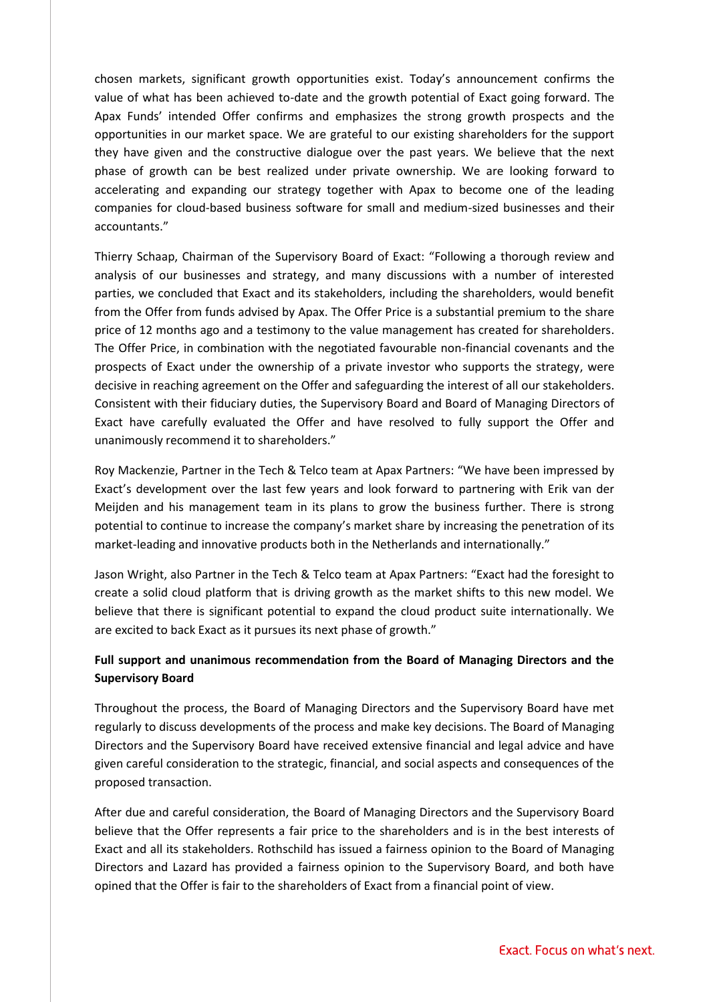chosen markets, significant growth opportunities exist. Today's announcement confirms the value of what has been achieved to-date and the growth potential of Exact going forward. The Apax Funds' intended Offer confirms and emphasizes the strong growth prospects and the opportunities in our market space. We are grateful to our existing shareholders for the support they have given and the constructive dialogue over the past years. We believe that the next phase of growth can be best realized under private ownership. We are looking forward to accelerating and expanding our strategy together with Apax to become one of the leading companies for cloud-based business software for small and medium-sized businesses and their accountants."

Thierry Schaap, Chairman of the Supervisory Board of Exact: "Following a thorough review and analysis of our businesses and strategy, and many discussions with a number of interested parties, we concluded that Exact and its stakeholders, including the shareholders, would benefit from the Offer from funds advised by Apax. The Offer Price is a substantial premium to the share price of 12 months ago and a testimony to the value management has created for shareholders. The Offer Price, in combination with the negotiated favourable non-financial covenants and the prospects of Exact under the ownership of a private investor who supports the strategy, were decisive in reaching agreement on the Offer and safeguarding the interest of all our stakeholders. Consistent with their fiduciary duties, the Supervisory Board and Board of Managing Directors of Exact have carefully evaluated the Offer and have resolved to fully support the Offer and unanimously recommend it to shareholders."

Roy Mackenzie, Partner in the Tech & Telco team at Apax Partners: "We have been impressed by Exact's development over the last few years and look forward to partnering with Erik van der Meijden and his management team in its plans to grow the business further. There is strong potential to continue to increase the company's market share by increasing the penetration of its market-leading and innovative products both in the Netherlands and internationally."

Jason Wright, also Partner in the Tech & Telco team at Apax Partners: "Exact had the foresight to create a solid cloud platform that is driving growth as the market shifts to this new model. We believe that there is significant potential to expand the cloud product suite internationally. We are excited to back Exact as it pursues its next phase of growth."

## **Full support and unanimous recommendation from the Board of Managing Directors and the Supervisory Board**

Throughout the process, the Board of Managing Directors and the Supervisory Board have met regularly to discuss developments of the process and make key decisions. The Board of Managing Directors and the Supervisory Board have received extensive financial and legal advice and have given careful consideration to the strategic, financial, and social aspects and consequences of the proposed transaction.

After due and careful consideration, the Board of Managing Directors and the Supervisory Board believe that the Offer represents a fair price to the shareholders and is in the best interests of Exact and all its stakeholders. Rothschild has issued a fairness opinion to the Board of Managing Directors and Lazard has provided a fairness opinion to the Supervisory Board, and both have opined that the Offer is fair to the shareholders of Exact from a financial point of view.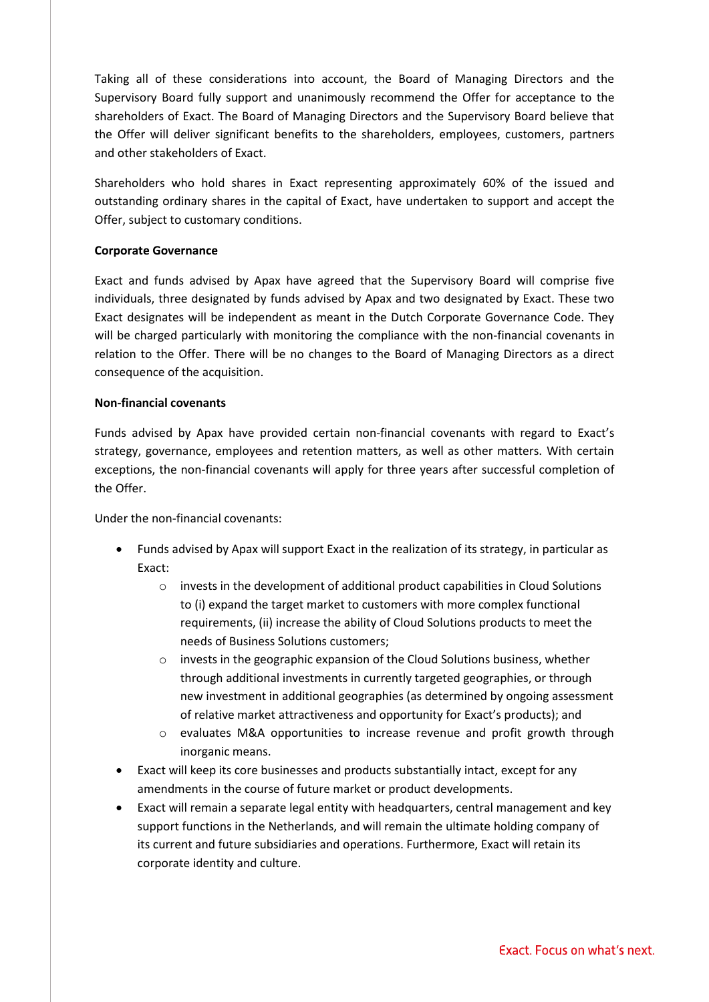Taking all of these considerations into account, the Board of Managing Directors and the Supervisory Board fully support and unanimously recommend the Offer for acceptance to the shareholders of Exact. The Board of Managing Directors and the Supervisory Board believe that the Offer will deliver significant benefits to the shareholders, employees, customers, partners and other stakeholders of Exact.

Shareholders who hold shares in Exact representing approximately 60% of the issued and outstanding ordinary shares in the capital of Exact, have undertaken to support and accept the Offer, subject to customary conditions.

## **Corporate Governance**

Exact and funds advised by Apax have agreed that the Supervisory Board will comprise five individuals, three designated by funds advised by Apax and two designated by Exact. These two Exact designates will be independent as meant in the Dutch Corporate Governance Code. They will be charged particularly with monitoring the compliance with the non-financial covenants in relation to the Offer. There will be no changes to the Board of Managing Directors as a direct consequence of the acquisition.

## **Non-financial covenants**

Funds advised by Apax have provided certain non-financial covenants with regard to Exact's strategy, governance, employees and retention matters, as well as other matters. With certain exceptions, the non-financial covenants will apply for three years after successful completion of the Offer.

Under the non-financial covenants:

- Funds advised by Apax will support Exact in the realization of its strategy, in particular as Exact:
	- $\circ$  invests in the development of additional product capabilities in Cloud Solutions to (i) expand the target market to customers with more complex functional requirements, (ii) increase the ability of Cloud Solutions products to meet the needs of Business Solutions customers;
	- $\circ$  invests in the geographic expansion of the Cloud Solutions business, whether through additional investments in currently targeted geographies, or through new investment in additional geographies (as determined by ongoing assessment of relative market attractiveness and opportunity for Exact's products); and
	- o evaluates M&A opportunities to increase revenue and profit growth through inorganic means.
- Exact will keep its core businesses and products substantially intact, except for any amendments in the course of future market or product developments.
- Exact will remain a separate legal entity with headquarters, central management and key support functions in the Netherlands, and will remain the ultimate holding company of its current and future subsidiaries and operations. Furthermore, Exact will retain its corporate identity and culture.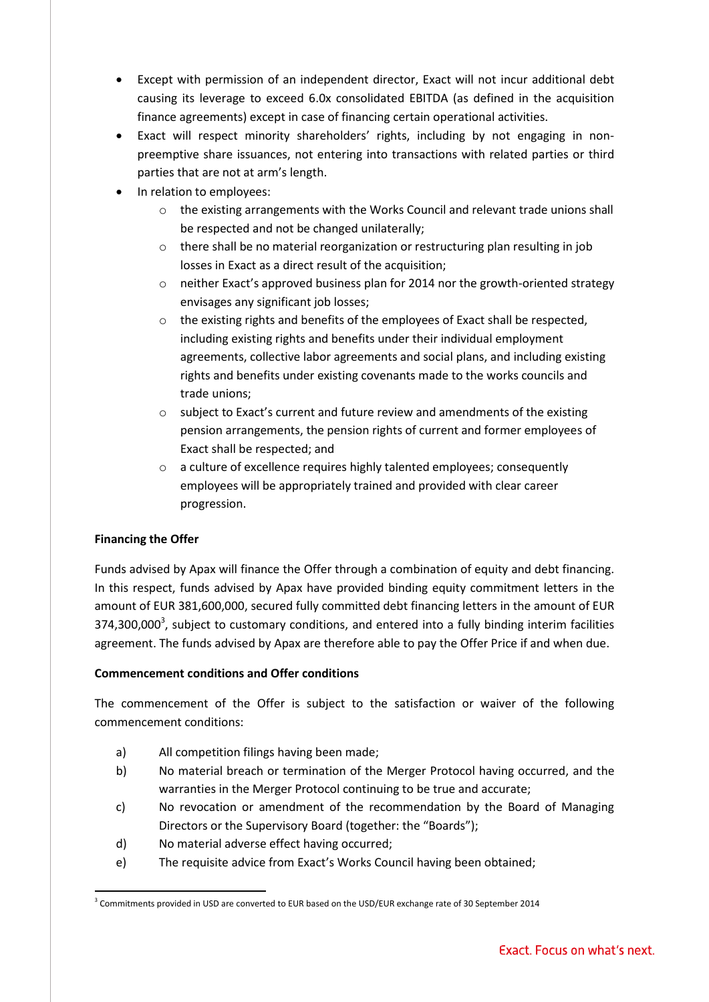- Except with permission of an independent director, Exact will not incur additional debt causing its leverage to exceed 6.0x consolidated EBITDA (as defined in the acquisition finance agreements) except in case of financing certain operational activities.
- Exact will respect minority shareholders' rights, including by not engaging in nonpreemptive share issuances, not entering into transactions with related parties or third parties that are not at arm's length.
- In relation to employees:
	- o the existing arrangements with the Works Council and relevant trade unions shall be respected and not be changed unilaterally;
	- $\circ$  there shall be no material reorganization or restructuring plan resulting in job losses in Exact as a direct result of the acquisition;
	- $\circ$  neither Exact's approved business plan for 2014 nor the growth-oriented strategy envisages any significant job losses;
	- o the existing rights and benefits of the employees of Exact shall be respected, including existing rights and benefits under their individual employment agreements, collective labor agreements and social plans, and including existing rights and benefits under existing covenants made to the works councils and trade unions;
	- o subject to Exact's current and future review and amendments of the existing pension arrangements, the pension rights of current and former employees of Exact shall be respected; and
	- o a culture of excellence requires highly talented employees; consequently employees will be appropriately trained and provided with clear career progression.

## **Financing the Offer**

Funds advised by Apax will finance the Offer through a combination of equity and debt financing. In this respect, funds advised by Apax have provided binding equity commitment letters in the amount of EUR 381,600,000, secured fully committed debt financing letters in the amount of EUR 374,300,000<sup>3</sup>, subject to customary conditions, and entered into a fully binding interim facilities agreement. The funds advised by Apax are therefore able to pay the Offer Price if and when due.

## **Commencement conditions and Offer conditions**

The commencement of the Offer is subject to the satisfaction or waiver of the following commencement conditions:

- a) All competition filings having been made;
- b) No material breach or termination of the Merger Protocol having occurred, and the warranties in the Merger Protocol continuing to be true and accurate;
- c) No revocation or amendment of the recommendation by the Board of Managing Directors or the Supervisory Board (together: the "Boards");
- d) No material adverse effect having occurred;
- e) The requisite advice from Exact's Works Council having been obtained;

 $\overline{a}$ <sup>3</sup> Commitments provided in USD are converted to EUR based on the USD/EUR exchange rate of 30 September 2014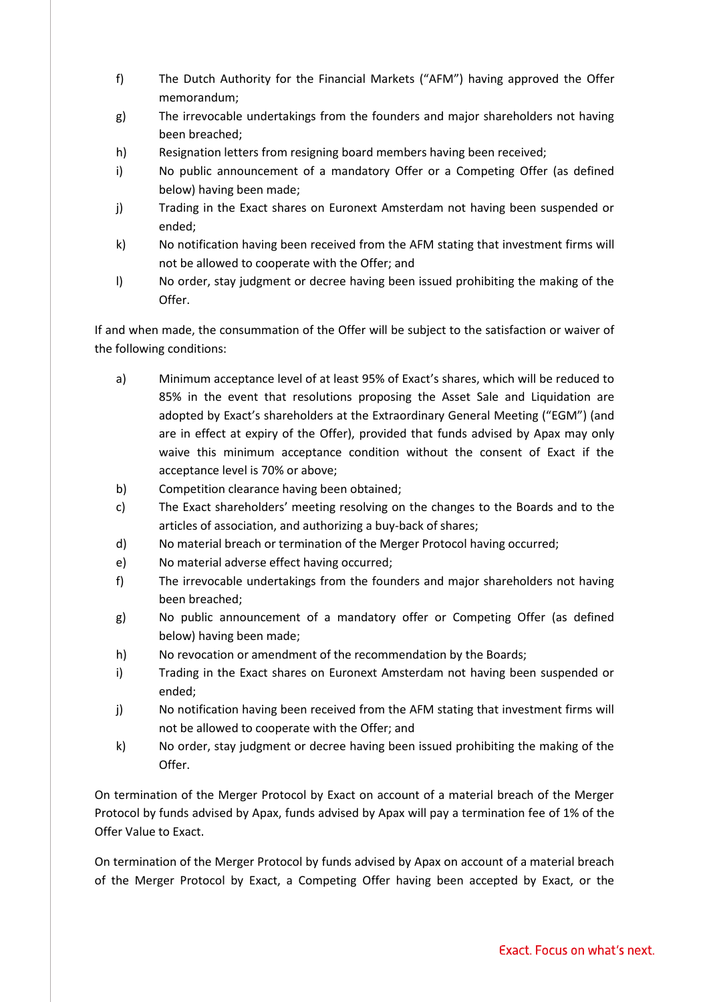- f) The Dutch Authority for the Financial Markets ("AFM") having approved the Offer memorandum;
- g) The irrevocable undertakings from the founders and major shareholders not having been breached;
- h) Resignation letters from resigning board members having been received;
- i) No public announcement of a mandatory Offer or a Competing Offer (as defined below) having been made;
- j) Trading in the Exact shares on Euronext Amsterdam not having been suspended or ended;
- k) No notification having been received from the AFM stating that investment firms will not be allowed to cooperate with the Offer; and
- l) No order, stay judgment or decree having been issued prohibiting the making of the Offer.

If and when made, the consummation of the Offer will be subject to the satisfaction or waiver of the following conditions:

- a) Minimum acceptance level of at least 95% of Exact's shares, which will be reduced to 85% in the event that resolutions proposing the Asset Sale and Liquidation are adopted by Exact's shareholders at the Extraordinary General Meeting ("EGM") (and are in effect at expiry of the Offer), provided that funds advised by Apax may only waive this minimum acceptance condition without the consent of Exact if the acceptance level is 70% or above;
- b) Competition clearance having been obtained;
- c) The Exact shareholders' meeting resolving on the changes to the Boards and to the articles of association, and authorizing a buy-back of shares;
- d) No material breach or termination of the Merger Protocol having occurred;
- e) No material adverse effect having occurred;
- f) The irrevocable undertakings from the founders and major shareholders not having been breached;
- g) No public announcement of a mandatory offer or Competing Offer (as defined below) having been made;
- h) No revocation or amendment of the recommendation by the Boards;
- i) Trading in the Exact shares on Euronext Amsterdam not having been suspended or ended;
- j) No notification having been received from the AFM stating that investment firms will not be allowed to cooperate with the Offer; and
- k) No order, stay judgment or decree having been issued prohibiting the making of the Offer.

On termination of the Merger Protocol by Exact on account of a material breach of the Merger Protocol by funds advised by Apax, funds advised by Apax will pay a termination fee of 1% of the Offer Value to Exact.

On termination of the Merger Protocol by funds advised by Apax on account of a material breach of the Merger Protocol by Exact, a Competing Offer having been accepted by Exact, or the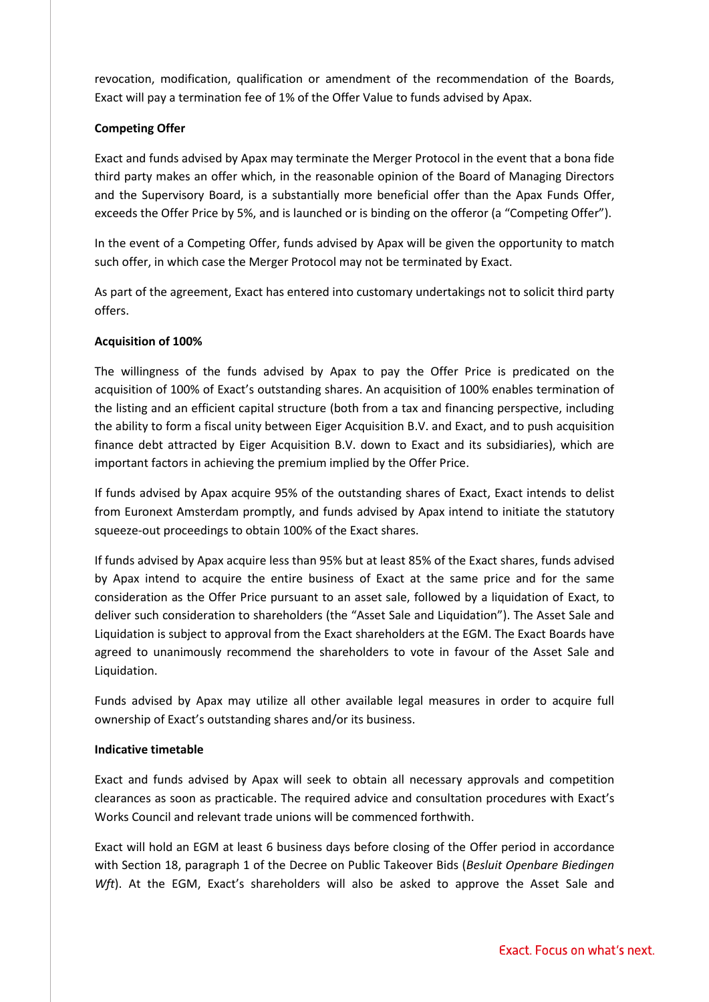revocation, modification, qualification or amendment of the recommendation of the Boards, Exact will pay a termination fee of 1% of the Offer Value to funds advised by Apax.

## **Competing Offer**

Exact and funds advised by Apax may terminate the Merger Protocol in the event that a bona fide third party makes an offer which, in the reasonable opinion of the Board of Managing Directors and the Supervisory Board, is a substantially more beneficial offer than the Apax Funds Offer, exceeds the Offer Price by 5%, and is launched or is binding on the offeror (a "Competing Offer").

In the event of a Competing Offer, funds advised by Apax will be given the opportunity to match such offer, in which case the Merger Protocol may not be terminated by Exact.

As part of the agreement, Exact has entered into customary undertakings not to solicit third party offers.

## **Acquisition of 100%**

The willingness of the funds advised by Apax to pay the Offer Price is predicated on the acquisition of 100% of Exact's outstanding shares. An acquisition of 100% enables termination of the listing and an efficient capital structure (both from a tax and financing perspective, including the ability to form a fiscal unity between Eiger Acquisition B.V. and Exact, and to push acquisition finance debt attracted by Eiger Acquisition B.V. down to Exact and its subsidiaries), which are important factors in achieving the premium implied by the Offer Price.

If funds advised by Apax acquire 95% of the outstanding shares of Exact, Exact intends to delist from Euronext Amsterdam promptly, and funds advised by Apax intend to initiate the statutory squeeze-out proceedings to obtain 100% of the Exact shares.

If funds advised by Apax acquire less than 95% but at least 85% of the Exact shares, funds advised by Apax intend to acquire the entire business of Exact at the same price and for the same consideration as the Offer Price pursuant to an asset sale, followed by a liquidation of Exact, to deliver such consideration to shareholders (the "Asset Sale and Liquidation"). The Asset Sale and Liquidation is subject to approval from the Exact shareholders at the EGM. The Exact Boards have agreed to unanimously recommend the shareholders to vote in favour of the Asset Sale and Liquidation.

Funds advised by Apax may utilize all other available legal measures in order to acquire full ownership of Exact's outstanding shares and/or its business.

## **Indicative timetable**

Exact and funds advised by Apax will seek to obtain all necessary approvals and competition clearances as soon as practicable. The required advice and consultation procedures with Exact's Works Council and relevant trade unions will be commenced forthwith.

Exact will hold an EGM at least 6 business days before closing of the Offer period in accordance with Section 18, paragraph 1 of the Decree on Public Takeover Bids (*Besluit Openbare Biedingen*  Wft). At the EGM, Exact's shareholders will also be asked to approve the Asset Sale and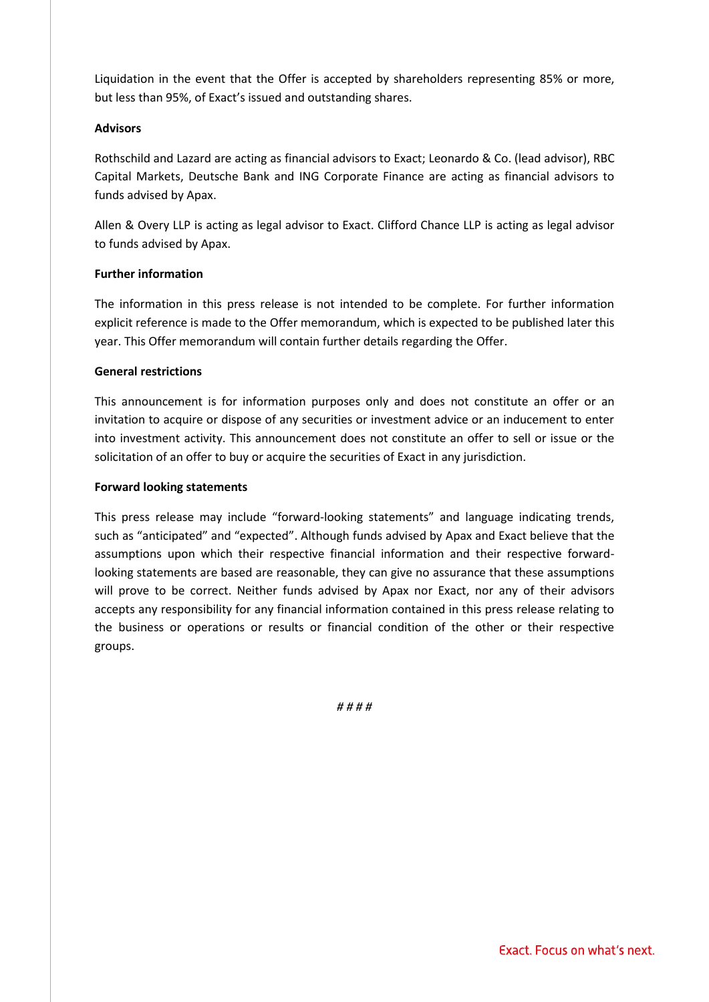Liquidation in the event that the Offer is accepted by shareholders representing 85% or more, but less than 95%, of Exact's issued and outstanding shares.

## **Advisors**

Rothschild and Lazard are acting as financial advisors to Exact; Leonardo & Co. (lead advisor), RBC Capital Markets, Deutsche Bank and ING Corporate Finance are acting as financial advisors to funds advised by Apax.

Allen & Overy LLP is acting as legal advisor to Exact. Clifford Chance LLP is acting as legal advisor to funds advised by Apax.

## **Further information**

The information in this press release is not intended to be complete. For further information explicit reference is made to the Offer memorandum, which is expected to be published later this year. This Offer memorandum will contain further details regarding the Offer.

## **General restrictions**

This announcement is for information purposes only and does not constitute an offer or an invitation to acquire or dispose of any securities or investment advice or an inducement to enter into investment activity. This announcement does not constitute an offer to sell or issue or the solicitation of an offer to buy or acquire the securities of Exact in any jurisdiction.

## **Forward looking statements**

This press release may include "forward-looking statements" and language indicating trends, such as "anticipated" and "expected". Although funds advised by Apax and Exact believe that the assumptions upon which their respective financial information and their respective forwardlooking statements are based are reasonable, they can give no assurance that these assumptions will prove to be correct. Neither funds advised by Apax nor Exact, nor any of their advisors accepts any responsibility for any financial information contained in this press release relating to the business or operations or results or financial condition of the other or their respective groups.

*# # # #*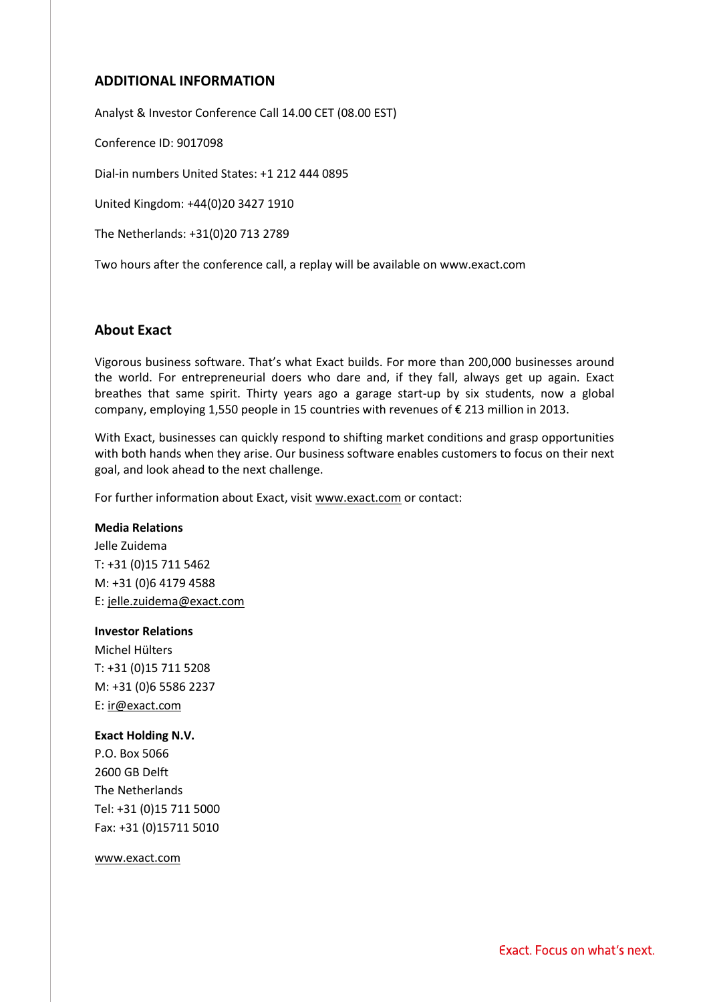## **ADDITIONAL INFORMATION**

Analyst & Investor Conference Call 14.00 CET (08.00 EST)

Conference ID: 9017098

Dial-in numbers United States: +1 212 444 0895

United Kingdom: +44(0)20 3427 1910

The Netherlands: +31(0)20 713 2789

Two hours after the conference call, a replay will be available on www.exact.com

## **About Exact**

Vigorous business software. That's what Exact builds. For more than 200,000 businesses around the world. For entrepreneurial doers who dare and, if they fall, always get up again. Exact breathes that same spirit. Thirty years ago a garage start-up by six students, now a global company, employing 1,550 people in 15 countries with revenues of € 213 million in 2013.

With Exact, businesses can quickly respond to shifting market conditions and grasp opportunities with both hands when they arise. Our business software enables customers to focus on their next goal, and look ahead to the next challenge.

For further information about Exact, visi[t www.exact.com](http://www.exact.com/) or contact:

#### **Media Relations**

Jelle Zuidema T: +31 (0)15 711 5462 M: +31 (0)6 4179 4588 E: jelle.zuidema@exact.com

## **Investor Relations**

Michel Hülters T: +31 (0)15 711 5208 M: +31 (0)6 5586 2237 E: ir@exact.com

#### **Exact Holding N.V.**

P.O. Box 5066 2600 GB Delft The Netherlands Tel: +31 (0)15 711 5000 Fax: +31 (0)15711 5010

www.exact.com